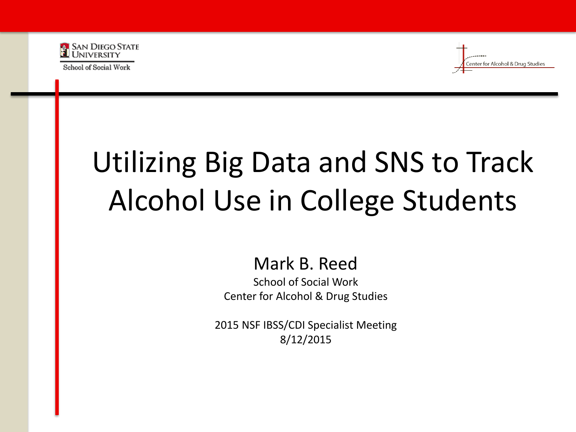

School of Social Work

nter for Alcohol & Drug Studies

# Utilizing Big Data and SNS to Track Alcohol Use in College Students

#### Mark B. Reed

School of Social Work Center for Alcohol & Drug Studies

2015 NSF IBSS/CDI Specialist Meeting 8/12/2015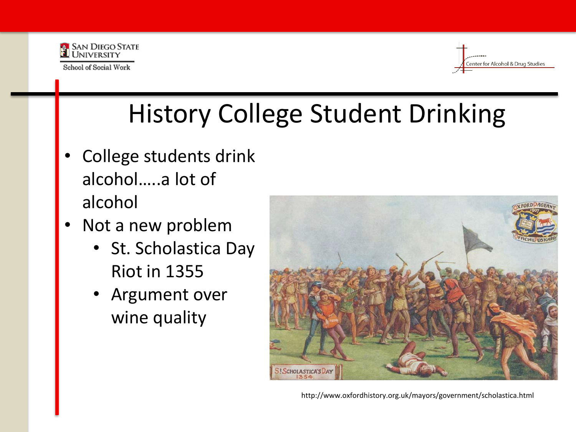



# History College Student Drinking

- College students drink alcohol…..a lot of alcohol
- Not a new problem
	- St. Scholastica Day Riot in 1355
	- Argument over wine quality



http://www.oxfordhistory.org.uk/mayors/government/scholastica.html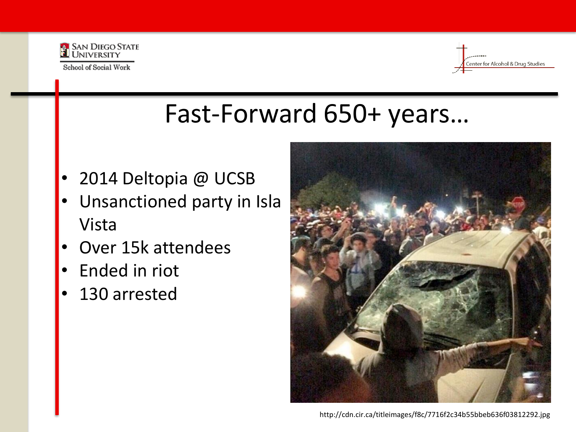



#### Fast-Forward 650+ years…

- 2014 Deltopia @ UCSB
- Unsanctioned party in Isla Vista
- Over 15k attendees
- Ended in riot
- 130 arrested

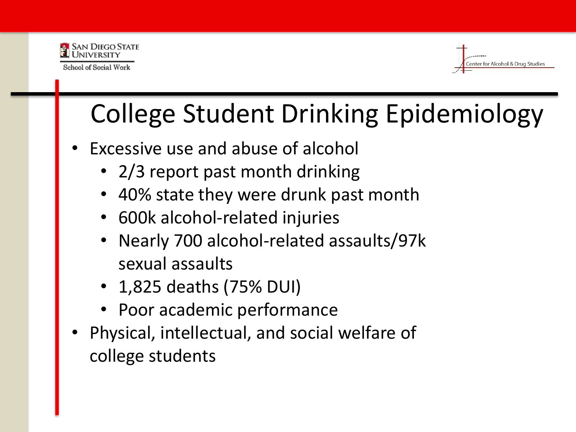



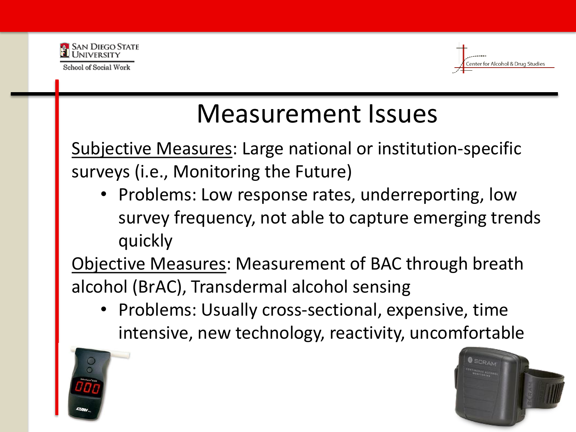



#### Measurement Issues

Subjective Measures: Large national or institution-specific surveys (i.e., Monitoring the Future)

• Problems: Low response rates, underreporting, low survey frequency, not able to capture emerging trends quickly

Objective Measures: Measurement of BAC through breath alcohol (BrAC), Transdermal alcohol sensing

• Problems: Usually cross-sectional, expensive, time intensive, new technology, reactivity, uncomfortable



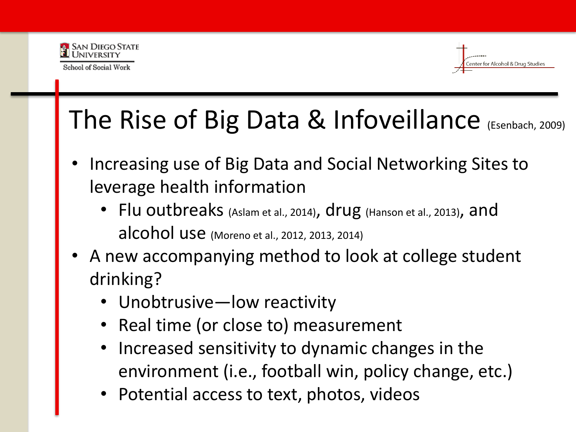



### The Rise of Big Data & Infoveillance (Esenbach, 2009)

- Increasing use of Big Data and Social Networking Sites to leverage health information
	- Flu outbreaks (Aslam et al., 2014), drug (Hanson et al., 2013), and alcohol use (Moreno et al., 2012, 2013, 2014)
- A new accompanying method to look at college student drinking?
	- Unobtrusive—low reactivity
	- Real time (or close to) measurement
	- Increased sensitivity to dynamic changes in the environment (i.e., football win, policy change, etc.)
	- Potential access to text, photos, videos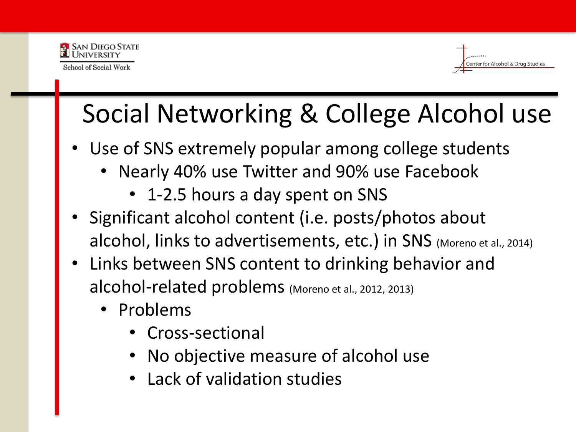



# Social Networking & College Alcohol use

- Use of SNS extremely popular among college students
	- Nearly 40% use Twitter and 90% use Facebook
		- 1-2.5 hours a day spent on SNS
- Significant alcohol content (i.e. posts/photos about alcohol, links to advertisements, etc.) in SNS (Moreno et al., 2014)
- Links between SNS content to drinking behavior and alcohol-related problems (Moreno et al., 2012, 2013)
	- Problems
		- Cross-sectional
		- No objective measure of alcohol use
		- Lack of validation studies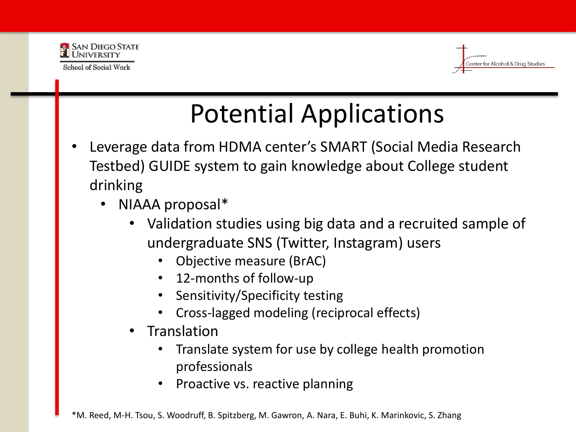



# Potential Applications

- Leverage data from HDMA center's SMART (Social Media Research Testbed) GUIDE system to gain knowledge about College student drinking
	- NIAAA proposal\*
		- Validation studies using big data and a recruited sample of undergraduate SNS (Twitter, Instagram) users
			- Objective measure (BrAC)
			- 12-months of follow-up
			- Sensitivity/Specificity testing
			- Cross-lagged modeling (reciprocal effects)
		- **Translation** 
			- Translate system for use by college health promotion professionals
			- Proactive vs. reactive planning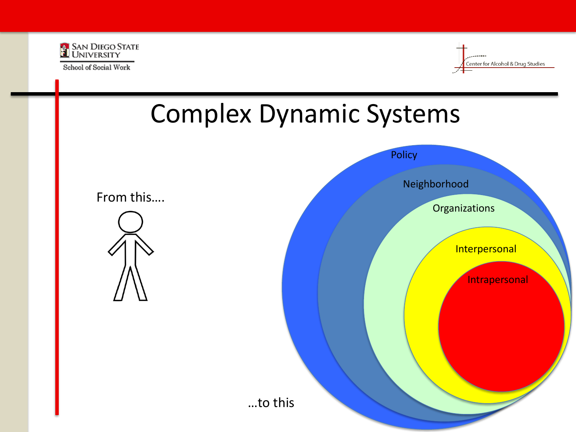

School of Social Work



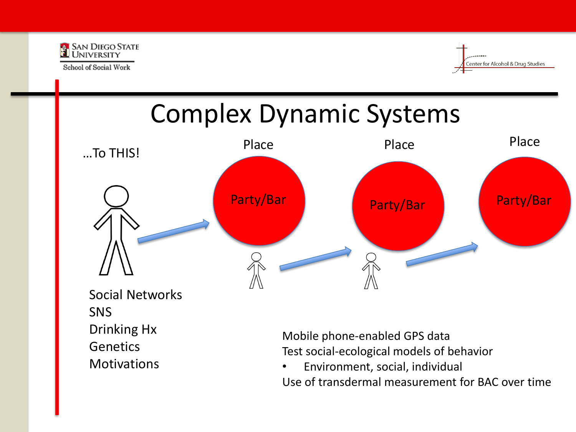

**Motivations** 



#### Complex Dynamic Systems …To THIS! Social Networks SNS Drinking Hx **Genetics** Party/Bar **Party/Bar Party/Bar** Place Place Place Place Mobile phone-enabled GPS data

Test social-ecological models of behavior

• Environment, social, individual Use of transdermal measurement for BAC over time